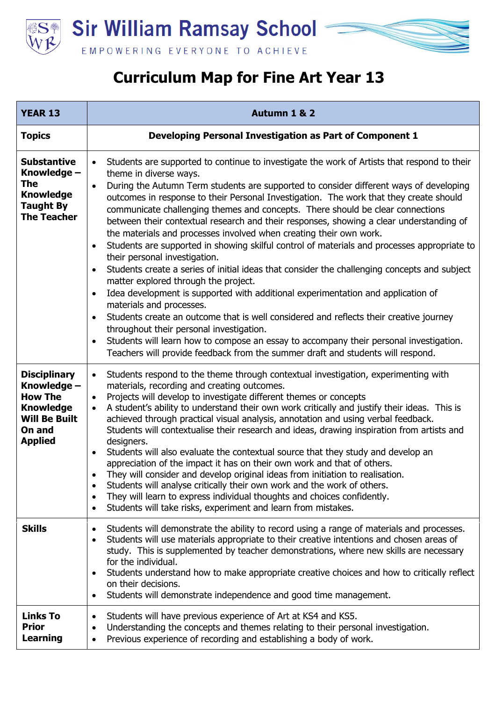

## **Curriculum Map for Fine Art Year 13**

| <b>YEAR 13</b>                                                                                                               | Autumn 1 & 2                                                                                                                                                                                                                                                                                                                                                                                                                                                                                                                                                                                                                                                                                                                                                                                                                                                                                                                                                                                                                                                                                                                                                                                                                                                                                                                                                       |
|------------------------------------------------------------------------------------------------------------------------------|--------------------------------------------------------------------------------------------------------------------------------------------------------------------------------------------------------------------------------------------------------------------------------------------------------------------------------------------------------------------------------------------------------------------------------------------------------------------------------------------------------------------------------------------------------------------------------------------------------------------------------------------------------------------------------------------------------------------------------------------------------------------------------------------------------------------------------------------------------------------------------------------------------------------------------------------------------------------------------------------------------------------------------------------------------------------------------------------------------------------------------------------------------------------------------------------------------------------------------------------------------------------------------------------------------------------------------------------------------------------|
| <b>Topics</b>                                                                                                                | Developing Personal Investigation as Part of Component 1                                                                                                                                                                                                                                                                                                                                                                                                                                                                                                                                                                                                                                                                                                                                                                                                                                                                                                                                                                                                                                                                                                                                                                                                                                                                                                           |
| <b>Substantive</b><br>Knowledge -<br>The<br><b>Knowledge</b><br><b>Taught By</b><br><b>The Teacher</b>                       | Students are supported to continue to investigate the work of Artists that respond to their<br>$\bullet$<br>theme in diverse ways.<br>During the Autumn Term students are supported to consider different ways of developing<br>$\bullet$<br>outcomes in response to their Personal Investigation. The work that they create should<br>communicate challenging themes and concepts. There should be clear connections<br>between their contextual research and their responses, showing a clear understanding of<br>the materials and processes involved when creating their own work.<br>Students are supported in showing skilful control of materials and processes appropriate to<br>$\bullet$<br>their personal investigation.<br>Students create a series of initial ideas that consider the challenging concepts and subject<br>$\bullet$<br>matter explored through the project.<br>Idea development is supported with additional experimentation and application of<br>$\bullet$<br>materials and processes.<br>Students create an outcome that is well considered and reflects their creative journey<br>$\bullet$<br>throughout their personal investigation.<br>Students will learn how to compose an essay to accompany their personal investigation.<br>$\bullet$<br>Teachers will provide feedback from the summer draft and students will respond. |
| <b>Disciplinary</b><br>Knowledge -<br><b>How The</b><br><b>Knowledge</b><br><b>Will Be Built</b><br>On and<br><b>Applied</b> | Students respond to the theme through contextual investigation, experimenting with<br>$\bullet$<br>materials, recording and creating outcomes.<br>Projects will develop to investigate different themes or concepts<br>$\bullet$<br>A student's ability to understand their own work critically and justify their ideas. This is<br>$\bullet$<br>achieved through practical visual analysis, annotation and using verbal feedback.<br>Students will contextualise their research and ideas, drawing inspiration from artists and<br>designers.<br>Students will also evaluate the contextual source that they study and develop an<br>$\bullet$<br>appreciation of the impact it has on their own work and that of others.<br>They will consider and develop original ideas from initiation to realisation.<br>Students will analyse critically their own work and the work of others.<br>$\bullet$<br>They will learn to express individual thoughts and choices confidently.<br>$\bullet$<br>Students will take risks, experiment and learn from mistakes.<br>$\bullet$                                                                                                                                                                                                                                                                                          |
| <b>Skills</b>                                                                                                                | Students will demonstrate the ability to record using a range of materials and processes.<br>$\bullet$<br>Students will use materials appropriate to their creative intentions and chosen areas of<br>$\bullet$<br>study. This is supplemented by teacher demonstrations, where new skills are necessary<br>for the individual.<br>Students understand how to make appropriate creative choices and how to critically reflect<br>$\bullet$<br>on their decisions.<br>Students will demonstrate independence and good time management.<br>$\bullet$                                                                                                                                                                                                                                                                                                                                                                                                                                                                                                                                                                                                                                                                                                                                                                                                                 |
| <b>Links To</b><br><b>Prior</b><br><b>Learning</b>                                                                           | Students will have previous experience of Art at KS4 and KS5.<br>٠<br>Understanding the concepts and themes relating to their personal investigation.<br>$\bullet$<br>Previous experience of recording and establishing a body of work.<br>$\bullet$                                                                                                                                                                                                                                                                                                                                                                                                                                                                                                                                                                                                                                                                                                                                                                                                                                                                                                                                                                                                                                                                                                               |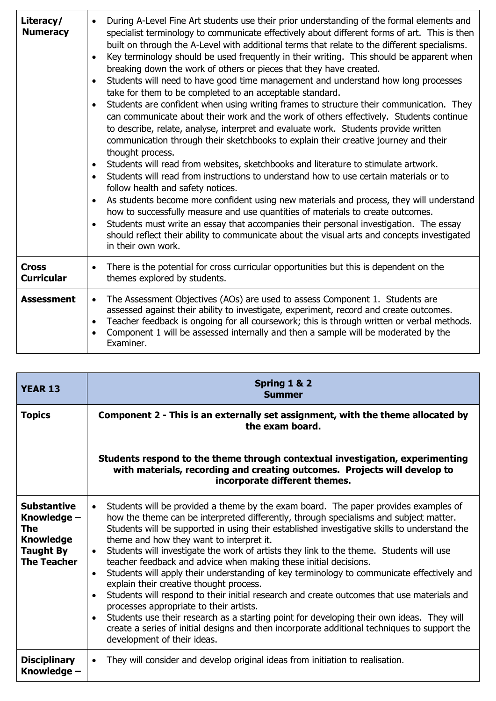| Literacy/<br><b>Numeracy</b>      | During A-Level Fine Art students use their prior understanding of the formal elements and<br>$\bullet$<br>specialist terminology to communicate effectively about different forms of art. This is then<br>built on through the A-Level with additional terms that relate to the different specialisms.<br>Key terminology should be used frequently in their writing. This should be apparent when<br>$\bullet$<br>breaking down the work of others or pieces that they have created.<br>Students will need to have good time management and understand how long processes<br>$\bullet$<br>take for them to be completed to an acceptable standard.<br>Students are confident when using writing frames to structure their communication. They<br>$\bullet$<br>can communicate about their work and the work of others effectively. Students continue<br>to describe, relate, analyse, interpret and evaluate work. Students provide written<br>communication through their sketchbooks to explain their creative journey and their<br>thought process.<br>Students will read from websites, sketchbooks and literature to stimulate artwork.<br>$\bullet$<br>Students will read from instructions to understand how to use certain materials or to<br>$\bullet$<br>follow health and safety notices.<br>As students become more confident using new materials and process, they will understand<br>$\bullet$<br>how to successfully measure and use quantities of materials to create outcomes.<br>Students must write an essay that accompanies their personal investigation. The essay<br>$\bullet$<br>should reflect their ability to communicate about the visual arts and concepts investigated<br>in their own work. |
|-----------------------------------|-----------------------------------------------------------------------------------------------------------------------------------------------------------------------------------------------------------------------------------------------------------------------------------------------------------------------------------------------------------------------------------------------------------------------------------------------------------------------------------------------------------------------------------------------------------------------------------------------------------------------------------------------------------------------------------------------------------------------------------------------------------------------------------------------------------------------------------------------------------------------------------------------------------------------------------------------------------------------------------------------------------------------------------------------------------------------------------------------------------------------------------------------------------------------------------------------------------------------------------------------------------------------------------------------------------------------------------------------------------------------------------------------------------------------------------------------------------------------------------------------------------------------------------------------------------------------------------------------------------------------------------------------------------------------------------------------------------------------------|
| <b>Cross</b><br><b>Curricular</b> | There is the potential for cross curricular opportunities but this is dependent on the<br>$\bullet$<br>themes explored by students.                                                                                                                                                                                                                                                                                                                                                                                                                                                                                                                                                                                                                                                                                                                                                                                                                                                                                                                                                                                                                                                                                                                                                                                                                                                                                                                                                                                                                                                                                                                                                                                         |
| <b>Assessment</b>                 | The Assessment Objectives (AOs) are used to assess Component 1. Students are<br>$\bullet$<br>assessed against their ability to investigate, experiment, record and create outcomes.<br>Teacher feedback is ongoing for all coursework; this is through written or verbal methods.<br>$\bullet$<br>Component 1 will be assessed internally and then a sample will be moderated by the<br>$\bullet$<br>Examiner.                                                                                                                                                                                                                                                                                                                                                                                                                                                                                                                                                                                                                                                                                                                                                                                                                                                                                                                                                                                                                                                                                                                                                                                                                                                                                                              |

| <b>YEAR 13</b>                                                                                         | Spring 1 & 2<br><b>Summer</b>                                                                                                                                                                                                                                                                                                                                                                                                                                                                                                                                                                                                                                                                                                                                                                                                                                                                                                                                                                                                                                         |
|--------------------------------------------------------------------------------------------------------|-----------------------------------------------------------------------------------------------------------------------------------------------------------------------------------------------------------------------------------------------------------------------------------------------------------------------------------------------------------------------------------------------------------------------------------------------------------------------------------------------------------------------------------------------------------------------------------------------------------------------------------------------------------------------------------------------------------------------------------------------------------------------------------------------------------------------------------------------------------------------------------------------------------------------------------------------------------------------------------------------------------------------------------------------------------------------|
| <b>Topics</b>                                                                                          | Component 2 - This is an externally set assignment, with the theme allocated by<br>the exam board.                                                                                                                                                                                                                                                                                                                                                                                                                                                                                                                                                                                                                                                                                                                                                                                                                                                                                                                                                                    |
|                                                                                                        | Students respond to the theme through contextual investigation, experimenting<br>with materials, recording and creating outcomes. Projects will develop to<br>incorporate different themes.                                                                                                                                                                                                                                                                                                                                                                                                                                                                                                                                                                                                                                                                                                                                                                                                                                                                           |
| <b>Substantive</b><br>Knowledge -<br>The<br><b>Knowledge</b><br><b>Taught By</b><br><b>The Teacher</b> | Students will be provided a theme by the exam board. The paper provides examples of<br>$\bullet$<br>how the theme can be interpreted differently, through specialisms and subject matter.<br>Students will be supported in using their established investigative skills to understand the<br>theme and how they want to interpret it.<br>Students will investigate the work of artists they link to the theme. Students will use<br>$\bullet$<br>teacher feedback and advice when making these initial decisions.<br>Students will apply their understanding of key terminology to communicate effectively and<br>$\bullet$<br>explain their creative thought process.<br>Students will respond to their initial research and create outcomes that use materials and<br>$\bullet$<br>processes appropriate to their artists.<br>Students use their research as a starting point for developing their own ideas. They will<br>$\bullet$<br>create a series of initial designs and then incorporate additional techniques to support the<br>development of their ideas. |
| <b>Disciplinary</b><br>Knowledge –                                                                     | They will consider and develop original ideas from initiation to realisation.<br>$\bullet$                                                                                                                                                                                                                                                                                                                                                                                                                                                                                                                                                                                                                                                                                                                                                                                                                                                                                                                                                                            |